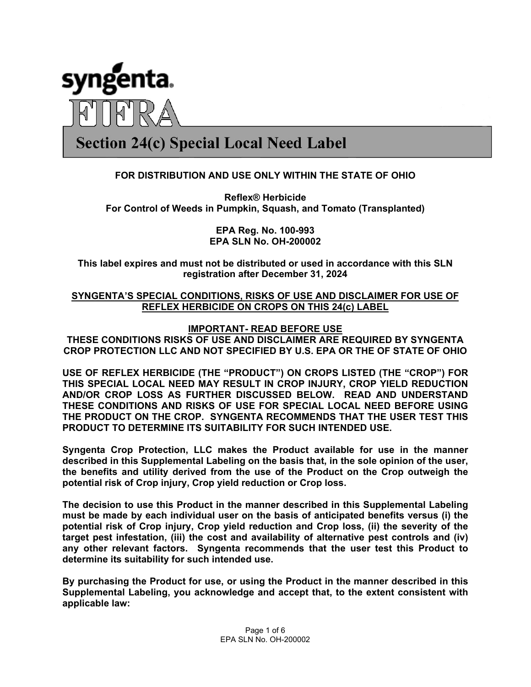

# **Section 24(c) Special Local Need Label**

## **FOR DISTRIBUTION AND USE ONLY WITHIN THE STATE OF OHIO**

**Reflex® Herbicide For Control of Weeds in Pumpkin, Squash, and Tomato (Transplanted)** 

> **EPA Reg. No. 100-993 EPA SLN No. OH-200002**

**This label expires and must not be distributed or used in accordance with this SLN registration after December 31, 2024** 

## **SYNGENTA'S SPECIAL CONDITIONS, RISKS OF USE AND DISCLAIMER FOR USE OF REFLEX HERBICIDE ON CROPS ON THIS 24(c) LABEL**

## **IMPORTANT- READ BEFORE USE**

**THESE CONDITIONS RISKS OF USE AND DISCLAIMER ARE REQUIRED BY SYNGENTA CROP PROTECTION LLC AND NOT SPECIFIED BY U.S. EPA OR THE OF STATE OF OHIO** 

**USE OF REFLEX HERBICIDE (THE "PRODUCT") ON CROPS LISTED (THE "CROP") FOR THIS SPECIAL LOCAL NEED MAY RESULT IN CROP INJURY, CROP YIELD REDUCTION AND/OR CROP LOSS AS FURTHER DISCUSSED BELOW. READ AND UNDERSTAND THESE CONDITIONS AND RISKS OF USE FOR SPECIAL LOCAL NEED BEFORE USING THE PRODUCT ON THE CROP. SYNGENTA RECOMMENDS THAT THE USER TEST THIS PRODUCT TO DETERMINE ITS SUITABILITY FOR SUCH INTENDED USE.** 

**Syngenta Crop Protection, LLC makes the Product available for use in the manner described in this Supplemental Labeling on the basis that, in the sole opinion of the user, the benefits and utility derived from the use of the Product on the Crop outweigh the potential risk of Crop injury, Crop yield reduction or Crop loss.** 

**The decision to use this Product in the manner described in this Supplemental Labeling must be made by each individual user on the basis of anticipated benefits versus (i) the potential risk of Crop injury, Crop yield reduction and Crop loss, (ii) the severity of the target pest infestation, (iii) the cost and availability of alternative pest controls and (iv) any other relevant factors. Syngenta recommends that the user test this Product to determine its suitability for such intended use.** 

**By purchasing the Product for use, or using the Product in the manner described in this Supplemental Labeling, you acknowledge and accept that, to the extent consistent with applicable law:**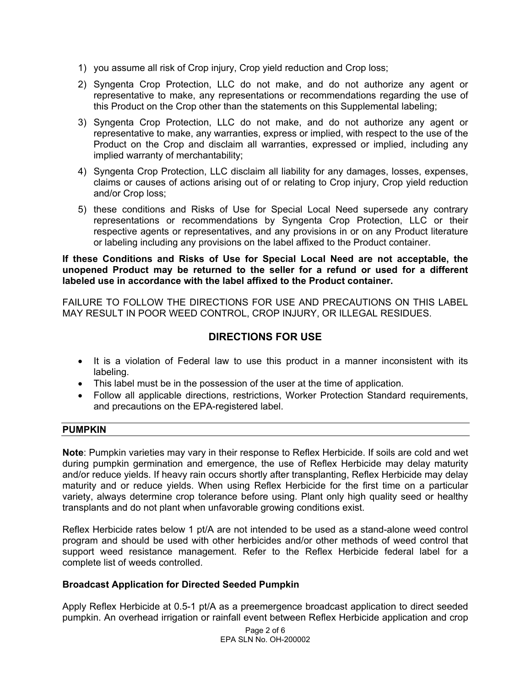- 1) you assume all risk of Crop injury, Crop yield reduction and Crop loss;
- 2) Syngenta Crop Protection, LLC do not make, and do not authorize any agent or representative to make, any representations or recommendations regarding the use of this Product on the Crop other than the statements on this Supplemental labeling;
- 3) Syngenta Crop Protection, LLC do not make, and do not authorize any agent or representative to make, any warranties, express or implied, with respect to the use of the Product on the Crop and disclaim all warranties, expressed or implied, including any implied warranty of merchantability;
- 4) Syngenta Crop Protection, LLC disclaim all liability for any damages, losses, expenses, claims or causes of actions arising out of or relating to Crop injury, Crop yield reduction and/or Crop loss;
- 5) these conditions and Risks of Use for Special Local Need supersede any contrary representations or recommendations by Syngenta Crop Protection, LLC or their respective agents or representatives, and any provisions in or on any Product literature or labeling including any provisions on the label affixed to the Product container.

#### **If these Conditions and Risks of Use for Special Local Need are not acceptable, the unopened Product may be returned to the seller for a refund or used for a different labeled use in accordance with the label affixed to the Product container.**

FAILURE TO FOLLOW THE DIRECTIONS FOR USE AND PRECAUTIONS ON THIS LABEL MAY RESULT IN POOR WEED CONTROL, CROP INJURY, OR ILLEGAL RESIDUES.

# **DIRECTIONS FOR USE**

- It is a violation of Federal law to use this product in a manner inconsistent with its labeling.
- This label must be in the possession of the user at the time of application.
- Follow all applicable directions, restrictions, Worker Protection Standard requirements, and precautions on the EPA-registered label.

## **PUMPKIN**

**Note**: Pumpkin varieties may vary in their response to Reflex Herbicide. If soils are cold and wet during pumpkin germination and emergence, the use of Reflex Herbicide may delay maturity and/or reduce yields. If heavy rain occurs shortly after transplanting, Reflex Herbicide may delay maturity and or reduce yields. When using Reflex Herbicide for the first time on a particular variety, always determine crop tolerance before using. Plant only high quality seed or healthy transplants and do not plant when unfavorable growing conditions exist.

Reflex Herbicide rates below 1 pt/A are not intended to be used as a stand-alone weed control program and should be used with other herbicides and/or other methods of weed control that support weed resistance management. Refer to the Reflex Herbicide federal label for a complete list of weeds controlled.

## **Broadcast Application for Directed Seeded Pumpkin**

Apply Reflex Herbicide at 0.5-1 pt/A as a preemergence broadcast application to direct seeded pumpkin. An overhead irrigation or rainfall event between Reflex Herbicide application and crop

> Page 2 of 6 EPA SLN No. OH-200002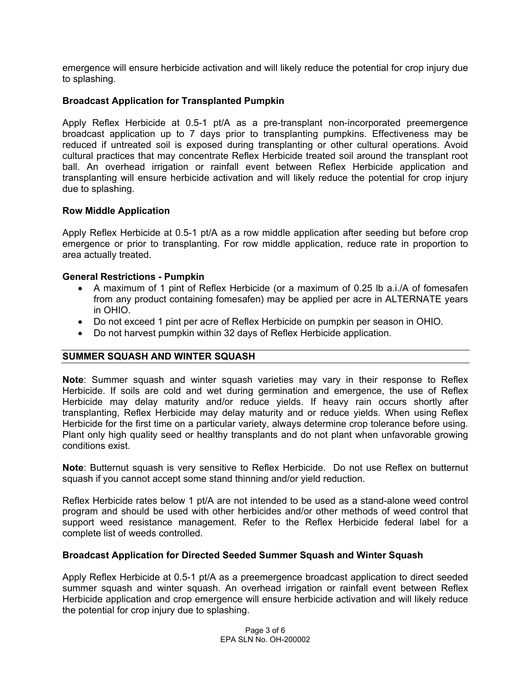emergence will ensure herbicide activation and will likely reduce the potential for crop injury due to splashing.

## **Broadcast Application for Transplanted Pumpkin**

Apply Reflex Herbicide at 0.5-1 pt/A as a pre-transplant non-incorporated preemergence broadcast application up to 7 days prior to transplanting pumpkins. Effectiveness may be reduced if untreated soil is exposed during transplanting or other cultural operations. Avoid cultural practices that may concentrate Reflex Herbicide treated soil around the transplant root ball. An overhead irrigation or rainfall event between Reflex Herbicide application and transplanting will ensure herbicide activation and will likely reduce the potential for crop injury due to splashing.

## **Row Middle Application**

Apply Reflex Herbicide at 0.5-1 pt/A as a row middle application after seeding but before crop emergence or prior to transplanting. For row middle application, reduce rate in proportion to area actually treated.

## **General Restrictions - Pumpkin**

- A maximum of 1 pint of Reflex Herbicide (or a maximum of 0.25 lb a.i./A of fomesafen from any product containing fomesafen) may be applied per acre in ALTERNATE years in OHIO.
- Do not exceed 1 pint per acre of Reflex Herbicide on pumpkin per season in OHIO.
- Do not harvest pumpkin within 32 days of Reflex Herbicide application.

## **SUMMER SQUASH AND WINTER SQUASH**

**Note**: Summer squash and winter squash varieties may vary in their response to Reflex Herbicide. If soils are cold and wet during germination and emergence, the use of Reflex Herbicide may delay maturity and/or reduce yields. If heavy rain occurs shortly after transplanting, Reflex Herbicide may delay maturity and or reduce yields. When using Reflex Herbicide for the first time on a particular variety, always determine crop tolerance before using. Plant only high quality seed or healthy transplants and do not plant when unfavorable growing conditions exist.

**Note**: Butternut squash is very sensitive to Reflex Herbicide. Do not use Reflex on butternut squash if you cannot accept some stand thinning and/or yield reduction.

Reflex Herbicide rates below 1 pt/A are not intended to be used as a stand-alone weed control program and should be used with other herbicides and/or other methods of weed control that support weed resistance management. Refer to the Reflex Herbicide federal label for a complete list of weeds controlled.

#### **Broadcast Application for Directed Seeded Summer Squash and Winter Squash**

Apply Reflex Herbicide at 0.5-1 pt/A as a preemergence broadcast application to direct seeded summer squash and winter squash. An overhead irrigation or rainfall event between Reflex Herbicide application and crop emergence will ensure herbicide activation and will likely reduce the potential for crop injury due to splashing.

> Page 3 of 6 EPA SLN No. OH-200002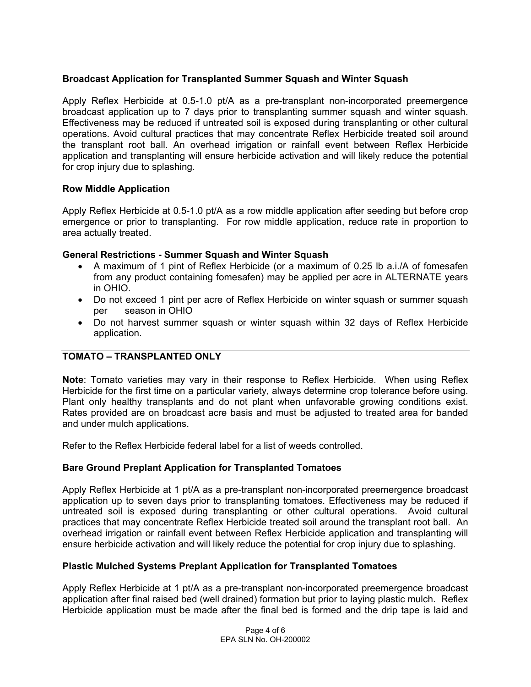## **Broadcast Application for Transplanted Summer Squash and Winter Squash**

Apply Reflex Herbicide at 0.5-1.0 pt/A as a pre-transplant non-incorporated preemergence broadcast application up to 7 days prior to transplanting summer squash and winter squash. Effectiveness may be reduced if untreated soil is exposed during transplanting or other cultural operations. Avoid cultural practices that may concentrate Reflex Herbicide treated soil around the transplant root ball. An overhead irrigation or rainfall event between Reflex Herbicide application and transplanting will ensure herbicide activation and will likely reduce the potential for crop injury due to splashing.

## **Row Middle Application**

Apply Reflex Herbicide at 0.5-1.0 pt/A as a row middle application after seeding but before crop emergence or prior to transplanting. For row middle application, reduce rate in proportion to area actually treated.

## **General Restrictions - Summer Squash and Winter Squash**

- A maximum of 1 pint of Reflex Herbicide (or a maximum of 0.25 lb a.i./A of fomesafen from any product containing fomesafen) may be applied per acre in ALTERNATE years in OHIO.
- Do not exceed 1 pint per acre of Reflex Herbicide on winter squash or summer squash per season in OHIO
- Do not harvest summer squash or winter squash within 32 days of Reflex Herbicide application.

# **TOMATO – TRANSPLANTED ONLY**

**Note**: Tomato varieties may vary in their response to Reflex Herbicide. When using Reflex Herbicide for the first time on a particular variety, always determine crop tolerance before using. Plant only healthy transplants and do not plant when unfavorable growing conditions exist. Rates provided are on broadcast acre basis and must be adjusted to treated area for banded and under mulch applications.

Refer to the Reflex Herbicide federal label for a list of weeds controlled.

## **Bare Ground Preplant Application for Transplanted Tomatoes**

Apply Reflex Herbicide at 1 pt/A as a pre-transplant non-incorporated preemergence broadcast application up to seven days prior to transplanting tomatoes. Effectiveness may be reduced if untreated soil is exposed during transplanting or other cultural operations. Avoid cultural practices that may concentrate Reflex Herbicide treated soil around the transplant root ball. An overhead irrigation or rainfall event between Reflex Herbicide application and transplanting will ensure herbicide activation and will likely reduce the potential for crop injury due to splashing.

## **Plastic Mulched Systems Preplant Application for Transplanted Tomatoes**

Apply Reflex Herbicide at 1 pt/A as a pre-transplant non-incorporated preemergence broadcast application after final raised bed (well drained) formation but prior to laying plastic mulch. Reflex Herbicide application must be made after the final bed is formed and the drip tape is laid and

> Page 4 of 6 EPA SLN No. OH-200002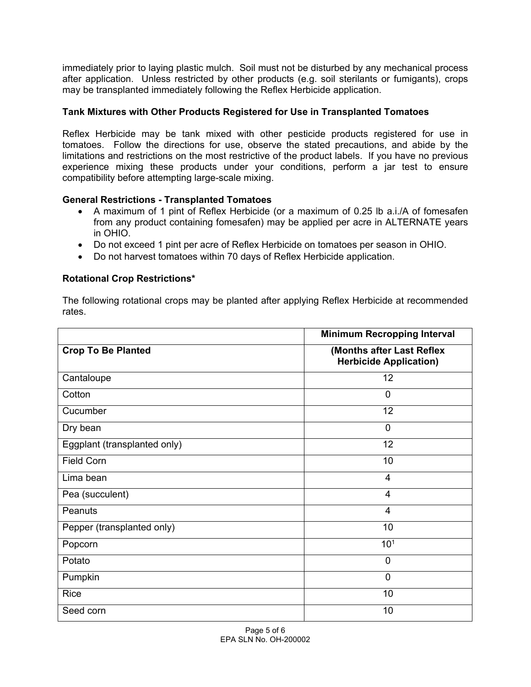immediately prior to laying plastic mulch. Soil must not be disturbed by any mechanical process after application. Unless restricted by other products (e.g. soil sterilants or fumigants), crops may be transplanted immediately following the Reflex Herbicide application.

# **Tank Mixtures with Other Products Registered for Use in Transplanted Tomatoes**

Reflex Herbicide may be tank mixed with other pesticide products registered for use in tomatoes. Follow the directions for use, observe the stated precautions, and abide by the limitations and restrictions on the most restrictive of the product labels. If you have no previous experience mixing these products under your conditions, perform a jar test to ensure compatibility before attempting large-scale mixing.

# **General Restrictions - Transplanted Tomatoes**

- A maximum of 1 pint of Reflex Herbicide (or a maximum of 0.25 lb a.i./A of fomesafen from any product containing fomesafen) may be applied per acre in ALTERNATE years in OHIO.
- Do not exceed 1 pint per acre of Reflex Herbicide on tomatoes per season in OHIO.
- Do not harvest tomatoes within 70 days of Reflex Herbicide application.

# **Rotational Crop Restrictions\***

The following rotational crops may be planted after applying Reflex Herbicide at recommended rates.

|                              | <b>Minimum Recropping Interval</b>                         |
|------------------------------|------------------------------------------------------------|
| <b>Crop To Be Planted</b>    | (Months after Last Reflex<br><b>Herbicide Application)</b> |
| Cantaloupe                   | 12                                                         |
| Cotton                       | $\overline{0}$                                             |
| Cucumber                     | 12                                                         |
| Dry bean                     | $\overline{0}$                                             |
| Eggplant (transplanted only) | 12                                                         |
| <b>Field Corn</b>            | 10                                                         |
| Lima bean                    | 4                                                          |
| Pea (succulent)              | $\overline{4}$                                             |
| Peanuts                      | 4                                                          |
| Pepper (transplanted only)   | 10                                                         |
| Popcorn                      | 10 <sup>1</sup>                                            |
| Potato                       | $\mathbf 0$                                                |
| Pumpkin                      | $\mathbf 0$                                                |
| Rice                         | 10                                                         |
| Seed corn                    | 10                                                         |